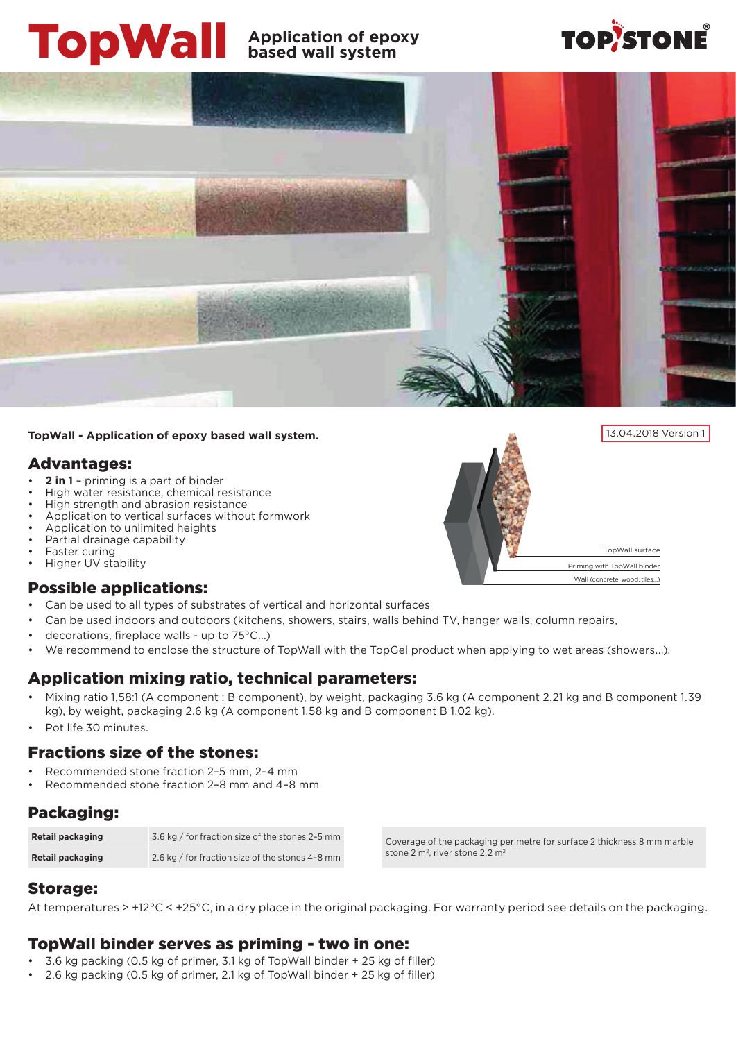# TopWall **Application of epoxy based wall system**

# **TOP/STONE**



#### **TopWall - Application of epoxy based wall system.**

### Advantages:

- **2 in 1** priming is a part of binder
- High water resistance, chemical resistance
- High strength and abrasion resistance
- Application to vertical surfaces without formwork
- Application to unlimited heights
- Partial drainage capability
- Faster curing
- Higher UV stability

#### Possible applications:

- • Can be used to all types of substrates of vertical and horizontal surfaces
- Can be used indoors and outdoors (kitchens, showers, stairs, walls behind TV, hanger walls, column repairs,
- decorations, fireplace walls up to 75°C...)
- We recommend to enclose the structure of TopWall with the TopGel product when applying to wet areas (showers...).

#### Application mixing ratio, technical parameters:

- Mixing ratio 1,58:1 (A component : B component), by weight, packaging 3.6 kg (A component 2.21 kg and B component 1.39 kg), by weight, packaging 2.6 kg (A component 1.58 kg and B component B 1.02 kg).
- Pot life 30 minutes.

#### Fractions size of the stones:

- Recommended stone fraction 2-5 mm, 2-4 mm
- Recommended stone fraction 2-8 mm and 4-8 mm

#### Packaging:

| Retail packaging | 3.6 kg / for fraction size of the stones 2-5 mm |
|------------------|-------------------------------------------------|
| Retail packaging | 2.6 kg / for fraction size of the stones 4-8 mm |

Coverage of the packaging per metre for surface 2 thickness 8 mm marble stone 2 m<sup>2</sup>, river stone 2.2 m<sup>2</sup>

#### Storage:

At temperatures > +12°C < +25°C, in a dry place in the original packaging. For warranty period see details on the packaging.

#### TopWall binder serves as priming - two in one:

- 3.6 kg packing (0.5 kg of primer, 3.1 kg of TopWall binder  $+$  25 kg of filler)
- 2.6 kg packing  $(0.5 \text{ kg of primer}, 2.1 \text{ kg of TopWall binder} + 25 \text{ kg of filled})$